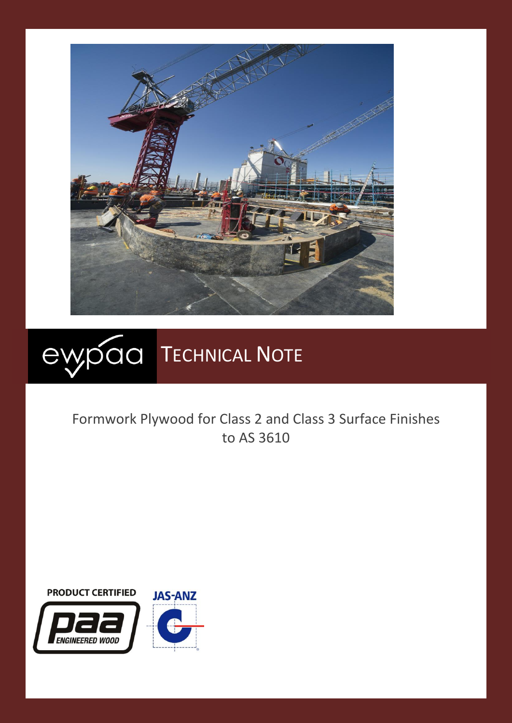



# Formwork Plywood for Class 2 and Class 3 Surface Finishes to AS 3610



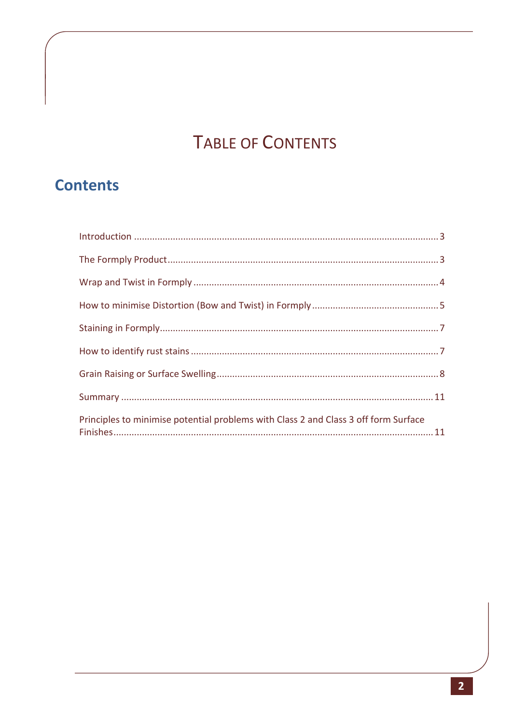# **TABLE OF CONTENTS**

# **Contents**

| Principles to minimise potential problems with Class 2 and Class 3 off form Surface |  |
|-------------------------------------------------------------------------------------|--|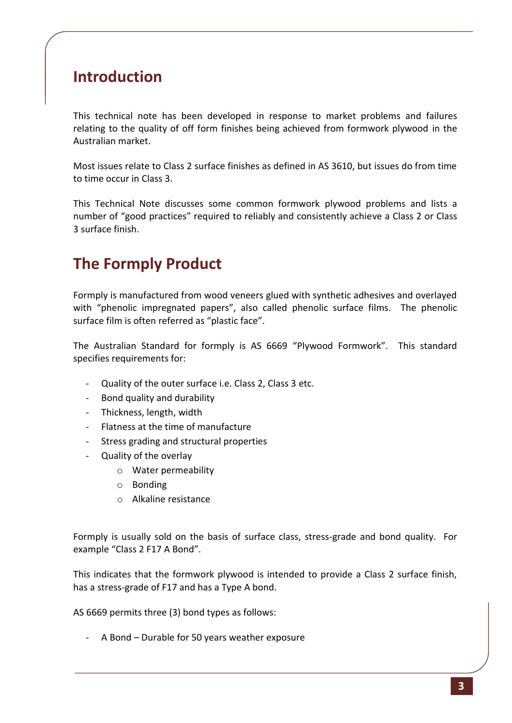### <span id="page-2-0"></span>**Introduction**

This technical note has been developed in response to market problems and failures relating to the quality of off form finishes being achieved from formwork plywood in the Australian market.

Most issues relate to Class 2 surface finishes as defined in AS 3610, but issues do from time to time occur in Class 3.

This Technical Note discusses some common formwork plywood problems and lists a number of "good practices" required to reliably and consistently achieve a Class 2 or Class 3 surface finish.

# <span id="page-2-1"></span>**The Formply Product**

Formply is manufactured from wood veneers glued with synthetic adhesives and overlayed with "phenolic impregnated papers", also called phenolic surface films. The phenolic surface film is often referred as "plastic face".

The Australian Standard for formply is AS 6669 "Plywood Formwork". This standard specifies requirements for:

- Quality of the outer surface i.e. Class 2, Class 3 etc.
- Bond quality and durability
- Thickness, length, width
- Flatness at the time of manufacture
- Stress grading and structural properties
- Quality of the overlay
	- o Water permeability
	- o Bonding
	- o Alkaline resistance

Formply is usually sold on the basis of surface class, stress-grade and bond quality. For example "Class 2 F17 A Bond".

This indicates that the formwork plywood is intended to provide a Class 2 surface finish, has a stress-grade of F17 and has a Type A bond.

AS 6669 permits three (3) bond types as follows:

- A Bond – Durable for 50 years weather exposure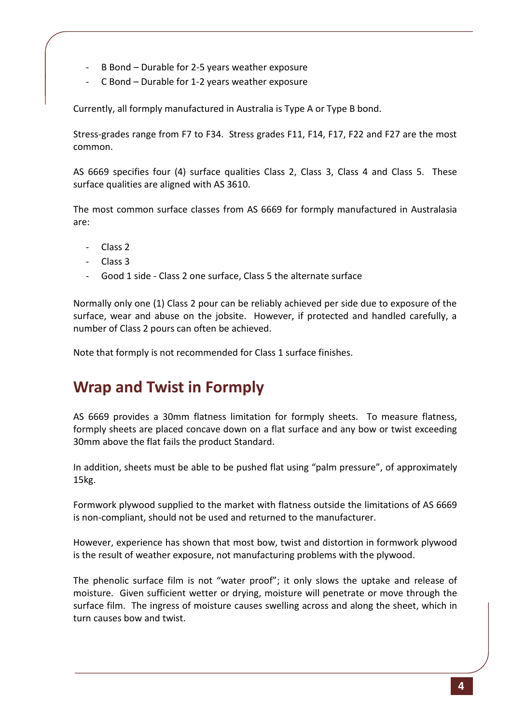- B Bond Durable for 2-5 years weather exposure
- C Bond Durable for 1-2 years weather exposure

Currently, all formply manufactured in Australia is Type A or Type B bond.

Stress-grades range from F7 to F34. Stress grades F11, F14, F17, F22 and F27 are the most common.

AS 6669 specifies four (4) surface qualities Class 2, Class 3, Class 4 and Class 5. These surface qualities are aligned with AS 3610.

The most common surface classes from AS 6669 for formply manufactured in Australasia are:

- Class 2
- Class 3
- Good 1 side Class 2 one surface, Class 5 the alternate surface

Normally only one (1) Class 2 pour can be reliably achieved per side due to exposure of the surface, wear and abuse on the jobsite. However, if protected and handled carefully, a number of Class 2 pours can often be achieved.

Note that formply is not recommended for Class 1 surface finishes.

# <span id="page-3-0"></span>**Wrap and Twist in Formply**

AS 6669 provides a 30mm flatness limitation for formply sheets. To measure flatness, formply sheets are placed concave down on a flat surface and any bow or twist exceeding 30mm above the flat fails the product Standard.

In addition, sheets must be able to be pushed flat using "palm pressure", of approximately 15kg.

Formwork plywood supplied to the market with flatness outside the limitations of AS 6669 is non-compliant, should not be used and returned to the manufacturer.

However, experience has shown that most bow, twist and distortion in formwork plywood is the result of weather exposure, not manufacturing problems with the plywood.

The phenolic surface film is not "water proof"; it only slows the uptake and release of moisture. Given sufficient wetter or drying, moisture will penetrate or move through the surface film. The ingress of moisture causes swelling across and along the sheet, which in turn causes bow and twist.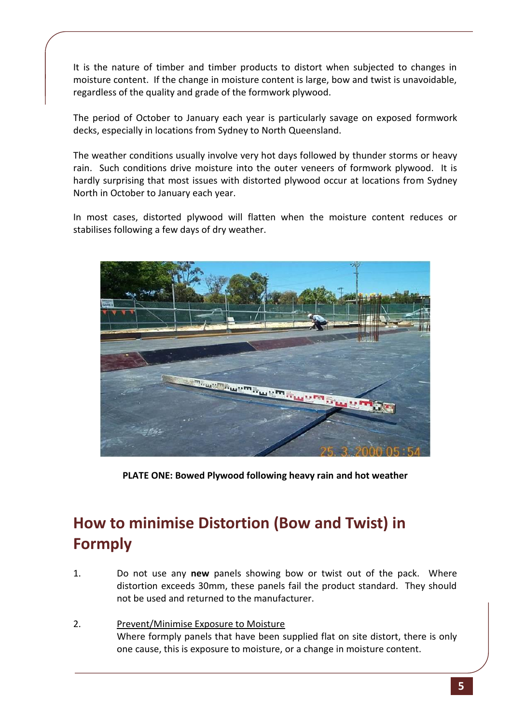It is the nature of timber and timber products to distort when subjected to changes in moisture content. If the change in moisture content is large, bow and twist is unavoidable, regardless of the quality and grade of the formwork plywood.

The period of October to January each year is particularly savage on exposed formwork decks, especially in locations from Sydney to North Queensland.

The weather conditions usually involve very hot days followed by thunder storms or heavy rain. Such conditions drive moisture into the outer veneers of formwork plywood. It is hardly surprising that most issues with distorted plywood occur at locations from Sydney North in October to January each year.

In most cases, distorted plywood will flatten when the moisture content reduces or stabilises following a few days of dry weather.



**PLATE ONE: Bowed Plywood following heavy rain and hot weather**

# <span id="page-4-0"></span>**How to minimise Distortion (Bow and Twist) in Formply**

- 1. Do not use any **new** panels showing bow or twist out of the pack. Where distortion exceeds 30mm, these panels fail the product standard. They should not be used and returned to the manufacturer.
- 2. Prevent/Minimise Exposure to Moisture Where formply panels that have been supplied flat on site distort, there is only one cause, this is exposure to moisture, or a change in moisture content.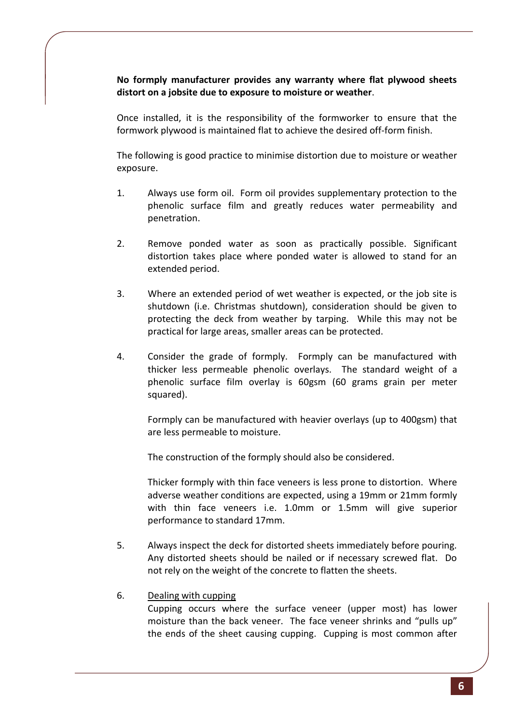**No formply manufacturer provides any warranty where flat plywood sheets distort on a jobsite due to exposure to moisture or weather**.

Once installed, it is the responsibility of the formworker to ensure that the formwork plywood is maintained flat to achieve the desired off-form finish.

The following is good practice to minimise distortion due to moisture or weather exposure.

- 1. Always use form oil. Form oil provides supplementary protection to the phenolic surface film and greatly reduces water permeability and penetration.
- 2. Remove ponded water as soon as practically possible. Significant distortion takes place where ponded water is allowed to stand for an extended period.
- 3. Where an extended period of wet weather is expected, or the job site is shutdown (i.e. Christmas shutdown), consideration should be given to protecting the deck from weather by tarping. While this may not be practical for large areas, smaller areas can be protected.
- 4. Consider the grade of formply. Formply can be manufactured with thicker less permeable phenolic overlays. The standard weight of a phenolic surface film overlay is 60gsm (60 grams grain per meter squared).

Formply can be manufactured with heavier overlays (up to 400gsm) that are less permeable to moisture.

The construction of the formply should also be considered.

Thicker formply with thin face veneers is less prone to distortion. Where adverse weather conditions are expected, using a 19mm or 21mm formly with thin face veneers i.e. 1.0mm or 1.5mm will give superior performance to standard 17mm.

- 5. Always inspect the deck for distorted sheets immediately before pouring. Any distorted sheets should be nailed or if necessary screwed flat. Do not rely on the weight of the concrete to flatten the sheets.
- 6. Dealing with cupping

Cupping occurs where the surface veneer (upper most) has lower moisture than the back veneer. The face veneer shrinks and "pulls up" the ends of the sheet causing cupping. Cupping is most common after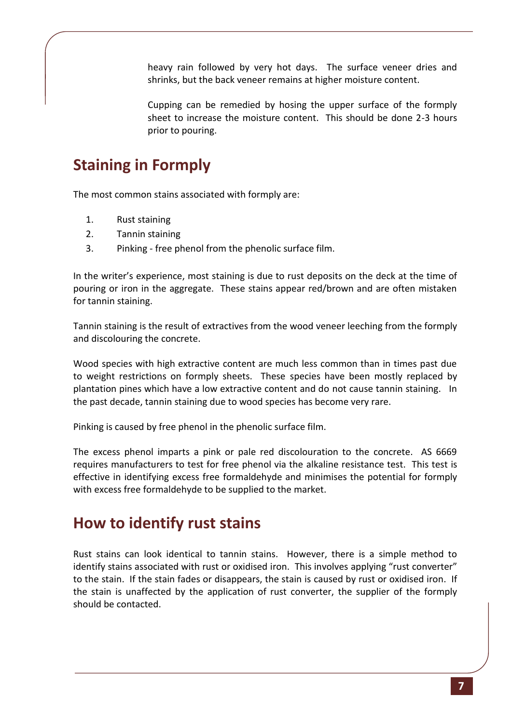heavy rain followed by very hot days. The surface veneer dries and shrinks, but the back veneer remains at higher moisture content.

Cupping can be remedied by hosing the upper surface of the formply sheet to increase the moisture content. This should be done 2-3 hours prior to pouring.

# <span id="page-6-0"></span>**Staining in Formply**

The most common stains associated with formply are:

- 1. Rust staining
- 2. Tannin staining
- 3. Pinking free phenol from the phenolic surface film.

In the writer's experience, most staining is due to rust deposits on the deck at the time of pouring or iron in the aggregate. These stains appear red/brown and are often mistaken for tannin staining.

Tannin staining is the result of extractives from the wood veneer leeching from the formply and discolouring the concrete.

Wood species with high extractive content are much less common than in times past due to weight restrictions on formply sheets. These species have been mostly replaced by plantation pines which have a low extractive content and do not cause tannin staining. In the past decade, tannin staining due to wood species has become very rare.

Pinking is caused by free phenol in the phenolic surface film.

The excess phenol imparts a pink or pale red discolouration to the concrete. AS 6669 requires manufacturers to test for free phenol via the alkaline resistance test. This test is effective in identifying excess free formaldehyde and minimises the potential for formply with excess free formaldehyde to be supplied to the market.

#### <span id="page-6-1"></span>**How to identify rust stains**

Rust stains can look identical to tannin stains. However, there is a simple method to identify stains associated with rust or oxidised iron. This involves applying "rust converter" to the stain. If the stain fades or disappears, the stain is caused by rust or oxidised iron. If the stain is unaffected by the application of rust converter, the supplier of the formply should be contacted.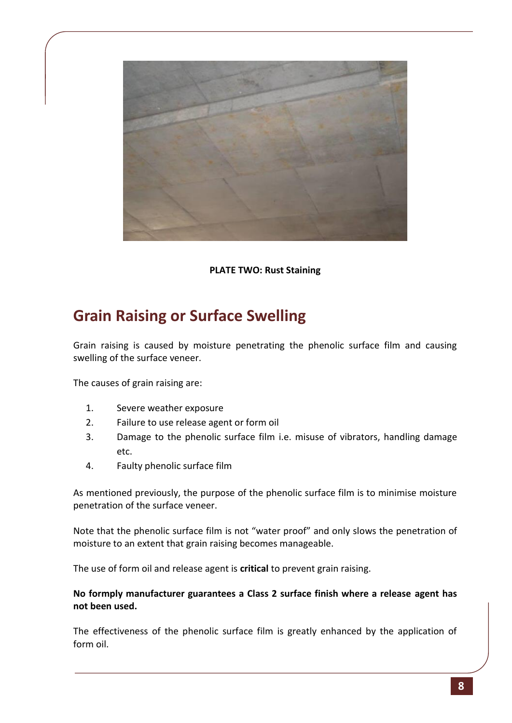

**PLATE TWO: Rust Staining**

# <span id="page-7-0"></span>**Grain Raising or Surface Swelling**

Grain raising is caused by moisture penetrating the phenolic surface film and causing swelling of the surface veneer.

The causes of grain raising are:

- 1. Severe weather exposure
- 2. Failure to use release agent or form oil
- 3. Damage to the phenolic surface film i.e. misuse of vibrators, handling damage etc.
- 4. Faulty phenolic surface film

As mentioned previously, the purpose of the phenolic surface film is to minimise moisture penetration of the surface veneer.

Note that the phenolic surface film is not "water proof" and only slows the penetration of moisture to an extent that grain raising becomes manageable.

The use of form oil and release agent is **critical** to prevent grain raising.

#### **No formply manufacturer guarantees a Class 2 surface finish where a release agent has not been used.**

The effectiveness of the phenolic surface film is greatly enhanced by the application of form oil.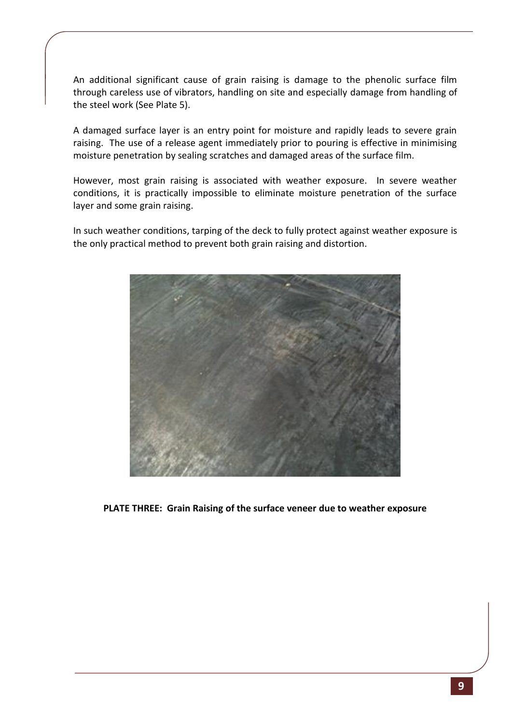An additional significant cause of grain raising is damage to the phenolic surface film through careless use of vibrators, handling on site and especially damage from handling of the steel work (See Plate 5).

A damaged surface layer is an entry point for moisture and rapidly leads to severe grain raising. The use of a release agent immediately prior to pouring is effective in minimising moisture penetration by sealing scratches and damaged areas of the surface film.

However, most grain raising is associated with weather exposure. In severe weather conditions, it is practically impossible to eliminate moisture penetration of the surface layer and some grain raising.

In such weather conditions, tarping of the deck to fully protect against weather exposure is the only practical method to prevent both grain raising and distortion.



**PLATE THREE: Grain Raising of the surface veneer due to weather exposure**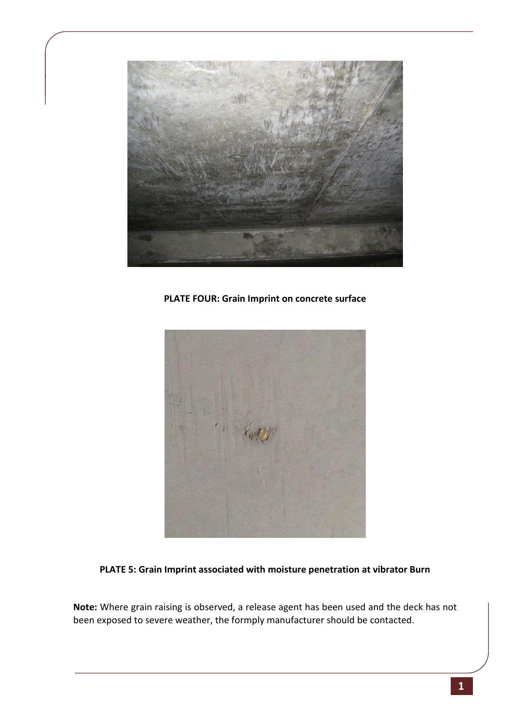

**PLATE FOUR: Grain Imprint on concrete surface**



**PLATE 5: Grain Imprint associated with moisture penetration at vibrator Burn**

**Note:** Where grain raising is observed, a release agent has been used and the deck has not been exposed to severe weather, the formply manufacturer should be contacted.